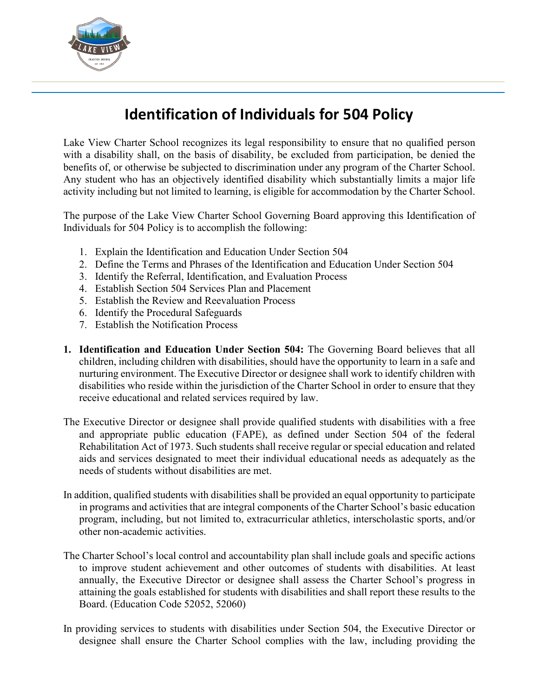

## **Identification of Individuals for 504 Policy**

Lake View Charter School recognizes its legal responsibility to ensure that no qualified person with a disability shall, on the basis of disability, be excluded from participation, be denied the benefits of, or otherwise be subjected to discrimination under any program of the Charter School. Any student who has an objectively identified disability which substantially limits a major life activity including but not limited to learning, is eligible for accommodation by the Charter School.

The purpose of the Lake View Charter School Governing Board approving this Identification of Individuals for 504 Policy is to accomplish the following:

- 1. Explain the Identification and Education Under Section 504
- 2. Define the Terms and Phrases of the Identification and Education Under Section 504
- 3. Identify the Referral, Identification, and Evaluation Process
- 4. Establish Section 504 Services Plan and Placement
- 5. Establish the Review and Reevaluation Process
- 6. Identify the Procedural Safeguards
- 7. Establish the Notification Process
- **1. Identification and Education Under Section 504:** The Governing Board believes that all children, including children with disabilities, should have the opportunity to learn in a safe and nurturing environment. The Executive Director or designee shall work to identify children with disabilities who reside within the jurisdiction of the Charter School in order to ensure that they receive educational and related services required by law.
- The Executive Director or designee shall provide qualified students with disabilities with a free and appropriate public education (FAPE), as defined under Section 504 of the federal Rehabilitation Act of 1973. Such students shall receive regular or special education and related aids and services designated to meet their individual educational needs as adequately as the needs of students without disabilities are met.
- In addition, qualified students with disabilities shall be provided an equal opportunity to participate in programs and activities that are integral components of the Charter School's basic education program, including, but not limited to, extracurricular athletics, interscholastic sports, and/or other non-academic activities.
- The Charter School's local control and accountability plan shall include goals and specific actions to improve student achievement and other outcomes of students with disabilities. At least annually, the Executive Director or designee shall assess the Charter School's progress in attaining the goals established for students with disabilities and shall report these results to the Board. (Education Code 52052, 52060)
- In providing services to students with disabilities under Section 504, the Executive Director or designee shall ensure the Charter School complies with the law, including providing the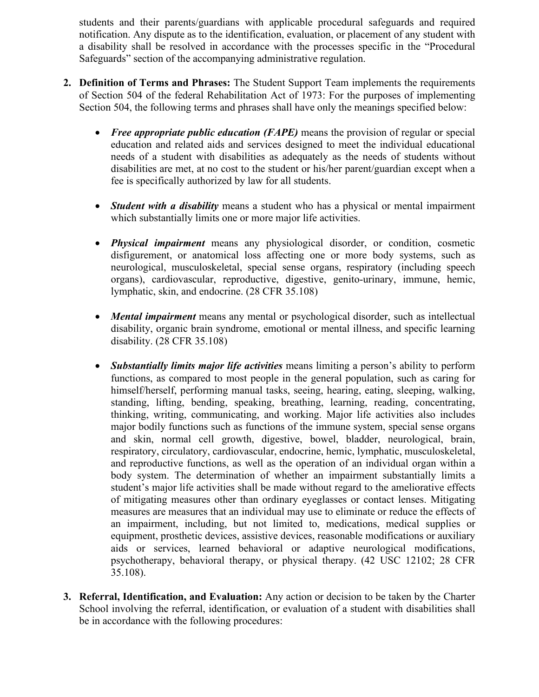students and their parents/guardians with applicable procedural safeguards and required notification. Any dispute as to the identification, evaluation, or placement of any student with a disability shall be resolved in accordance with the processes specific in the "Procedural Safeguards" section of the accompanying administrative regulation.

- **2. Definition of Terms and Phrases:** The Student Support Team implements the requirements of Section 504 of the federal Rehabilitation Act of 1973: For the purposes of implementing Section 504, the following terms and phrases shall have only the meanings specified below:
	- *Free appropriate public education (FAPE)* means the provision of regular or special education and related aids and services designed to meet the individual educational needs of a student with disabilities as adequately as the needs of students without disabilities are met, at no cost to the student or his/her parent/guardian except when a fee is specifically authorized by law for all students.
	- *Student with a disability* means a student who has a physical or mental impairment which substantially limits one or more major life activities.
	- *Physical impairment* means any physiological disorder, or condition, cosmetic disfigurement, or anatomical loss affecting one or more body systems, such as neurological, musculoskeletal, special sense organs, respiratory (including speech organs), cardiovascular, reproductive, digestive, genito-urinary, immune, hemic, lymphatic, skin, and endocrine. (28 CFR 35.108)
	- *Mental impairment* means any mental or psychological disorder, such as intellectual disability, organic brain syndrome, emotional or mental illness, and specific learning disability. (28 CFR 35.108)
	- *Substantially limits major life activities* means limiting a person's ability to perform functions, as compared to most people in the general population, such as caring for himself/herself, performing manual tasks, seeing, hearing, eating, sleeping, walking, standing, lifting, bending, speaking, breathing, learning, reading, concentrating, thinking, writing, communicating, and working. Major life activities also includes major bodily functions such as functions of the immune system, special sense organs and skin, normal cell growth, digestive, bowel, bladder, neurological, brain, respiratory, circulatory, cardiovascular, endocrine, hemic, lymphatic, musculoskeletal, and reproductive functions, as well as the operation of an individual organ within a body system. The determination of whether an impairment substantially limits a student's major life activities shall be made without regard to the ameliorative effects of mitigating measures other than ordinary eyeglasses or contact lenses. Mitigating measures are measures that an individual may use to eliminate or reduce the effects of an impairment, including, but not limited to, medications, medical supplies or equipment, prosthetic devices, assistive devices, reasonable modifications or auxiliary aids or services, learned behavioral or adaptive neurological modifications, psychotherapy, behavioral therapy, or physical therapy. (42 USC 12102; 28 CFR 35.108).
- **3. Referral, Identification, and Evaluation:** Any action or decision to be taken by the Charter School involving the referral, identification, or evaluation of a student with disabilities shall be in accordance with the following procedures: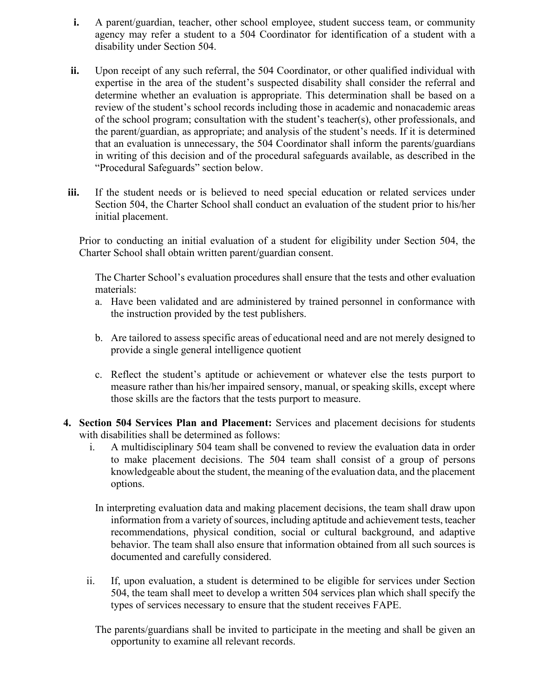- **i.** A parent/guardian, teacher, other school employee, student success team, or community agency may refer a student to a 504 Coordinator for identification of a student with a disability under Section 504.
- **ii.** Upon receipt of any such referral, the 504 Coordinator, or other qualified individual with expertise in the area of the student's suspected disability shall consider the referral and determine whether an evaluation is appropriate. This determination shall be based on a review of the student's school records including those in academic and nonacademic areas of the school program; consultation with the student's teacher(s), other professionals, and the parent/guardian, as appropriate; and analysis of the student's needs. If it is determined that an evaluation is unnecessary, the 504 Coordinator shall inform the parents/guardians in writing of this decision and of the procedural safeguards available, as described in the "Procedural Safeguards" section below.
- **iii.** If the student needs or is believed to need special education or related services under Section 504, the Charter School shall conduct an evaluation of the student prior to his/her initial placement.

Prior to conducting an initial evaluation of a student for eligibility under Section 504, the Charter School shall obtain written parent/guardian consent.

The Charter School's evaluation procedures shall ensure that the tests and other evaluation materials:

- a. Have been validated and are administered by trained personnel in conformance with the instruction provided by the test publishers.
- b. Are tailored to assess specific areas of educational need and are not merely designed to provide a single general intelligence quotient
- c. Reflect the student's aptitude or achievement or whatever else the tests purport to measure rather than his/her impaired sensory, manual, or speaking skills, except where those skills are the factors that the tests purport to measure.
- **4. Section 504 Services Plan and Placement:** Services and placement decisions for students with disabilities shall be determined as follows:
	- i. A multidisciplinary 504 team shall be convened to review the evaluation data in order to make placement decisions. The 504 team shall consist of a group of persons knowledgeable about the student, the meaning of the evaluation data, and the placement options.
	- In interpreting evaluation data and making placement decisions, the team shall draw upon information from a variety of sources, including aptitude and achievement tests, teacher recommendations, physical condition, social or cultural background, and adaptive behavior. The team shall also ensure that information obtained from all such sources is documented and carefully considered.
	- ii. If, upon evaluation, a student is determined to be eligible for services under Section 504, the team shall meet to develop a written 504 services plan which shall specify the types of services necessary to ensure that the student receives FAPE.

The parents/guardians shall be invited to participate in the meeting and shall be given an opportunity to examine all relevant records.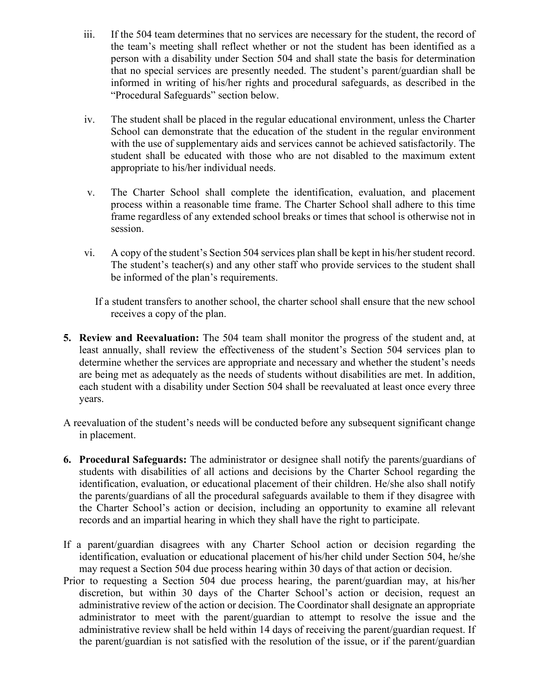- iii. If the 504 team determines that no services are necessary for the student, the record of the team's meeting shall reflect whether or not the student has been identified as a person with a disability under Section 504 and shall state the basis for determination that no special services are presently needed. The student's parent/guardian shall be informed in writing of his/her rights and procedural safeguards, as described in the "Procedural Safeguards" section below.
- iv. The student shall be placed in the regular educational environment, unless the Charter School can demonstrate that the education of the student in the regular environment with the use of supplementary aids and services cannot be achieved satisfactorily. The student shall be educated with those who are not disabled to the maximum extent appropriate to his/her individual needs.
- v. The Charter School shall complete the identification, evaluation, and placement process within a reasonable time frame. The Charter School shall adhere to this time frame regardless of any extended school breaks or times that school is otherwise not in session.
- vi. A copy of the student's Section 504 services plan shall be kept in his/her student record. The student's teacher(s) and any other staff who provide services to the student shall be informed of the plan's requirements.
	- If a student transfers to another school, the charter school shall ensure that the new school receives a copy of the plan.
- **5. Review and Reevaluation:** The 504 team shall monitor the progress of the student and, at least annually, shall review the effectiveness of the student's Section 504 services plan to determine whether the services are appropriate and necessary and whether the student's needs are being met as adequately as the needs of students without disabilities are met. In addition, each student with a disability under Section 504 shall be reevaluated at least once every three years.
- A reevaluation of the student's needs will be conducted before any subsequent significant change in placement.
- **6. Procedural Safeguards:** The administrator or designee shall notify the parents/guardians of students with disabilities of all actions and decisions by the Charter School regarding the identification, evaluation, or educational placement of their children. He/she also shall notify the parents/guardians of all the procedural safeguards available to them if they disagree with the Charter School's action or decision, including an opportunity to examine all relevant records and an impartial hearing in which they shall have the right to participate.
- If a parent/guardian disagrees with any Charter School action or decision regarding the identification, evaluation or educational placement of his/her child under Section 504, he/she may request a Section 504 due process hearing within 30 days of that action or decision.
- Prior to requesting a Section 504 due process hearing, the parent/guardian may, at his/her discretion, but within 30 days of the Charter School's action or decision, request an administrative review of the action or decision. The Coordinator shall designate an appropriate administrator to meet with the parent/guardian to attempt to resolve the issue and the administrative review shall be held within 14 days of receiving the parent/guardian request. If the parent/guardian is not satisfied with the resolution of the issue, or if the parent/guardian